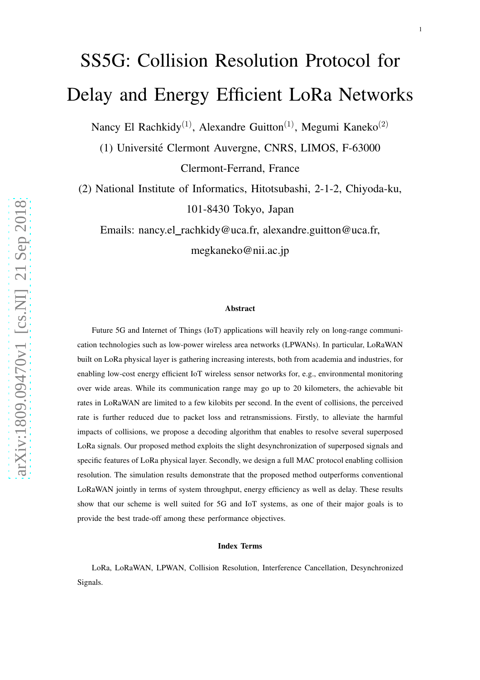# SS5G: Collision Resolution Protocol for Delay and Energy Efficient LoRa Networks

Nancy El Rachkidy<sup>(1)</sup>, Alexandre Guitton<sup>(1)</sup>, Megumi Kaneko<sup>(2)</sup>

(1) Universite Clermont Auvergne, CNRS, LIMOS, F-63000 ´

Clermont-Ferrand, France

(2) National Institute of Informatics, Hitotsubashi, 2-1-2, Chiyoda-ku, 101-8430 Tokyo, Japan

Emails: nancy.el\_rachkidy@uca.fr, alexandre.guitton@uca.fr,

megkaneko@nii.ac.jp

#### Abstract

Future 5G and Internet of Things (IoT) applications will heavily rely on long-range communication technologies such as low-power wireless area networks (LPWANs). In particular, LoRaWAN built on LoRa physical layer is gathering increasing interests, both from academia and industries, for enabling low-cost energy efficient IoT wireless sensor networks for, e.g., environmental monitoring over wide areas. While its communication range may go up to 20 kilometers, the achievable bit rates in LoRaWAN are limited to a few kilobits per second. In the event of collisions, the perceived rate is further reduced due to packet loss and retransmissions. Firstly, to alleviate the harmful impacts of collisions, we propose a decoding algorithm that enables to resolve several superposed LoRa signals. Our proposed method exploits the slight desynchronization of superposed signals and specific features of LoRa physical layer. Secondly, we design a full MAC protocol enabling collision resolution. The simulation results demonstrate that the proposed method outperforms conventional LoRaWAN jointly in terms of system throughput, energy efficiency as well as delay. These results show that our scheme is well suited for 5G and IoT systems, as one of their major goals is to provide the best trade-off among these performance objectives.

#### Index Terms

LoRa, LoRaWAN, LPWAN, Collision Resolution, Interference Cancellation, Desynchronized Signals.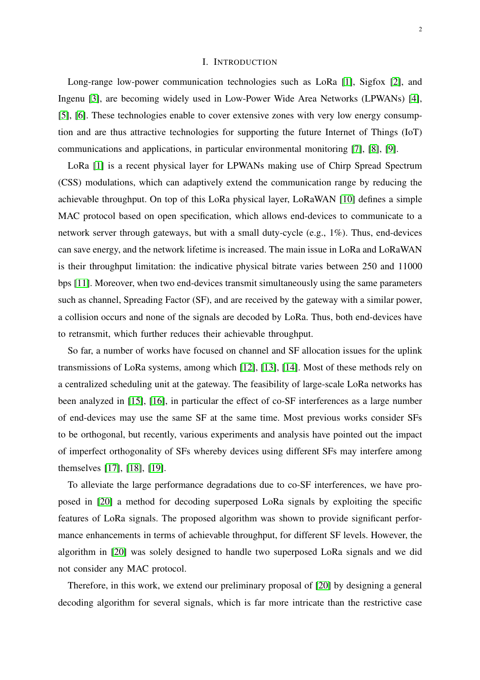#### I. INTRODUCTION

Long-range low-power communication technologies such as LoRa [\[1\]](#page-25-0), Sigfox [\[2\]](#page-25-1), and Ingenu [\[3\]](#page-25-2), are becoming widely used in Low-Power Wide Area Networks (LPWANs) [\[4\]](#page-25-3), [\[5\]](#page-25-4), [\[6\]](#page-25-5). These technologies enable to cover extensive zones with very low energy consumption and are thus attractive technologies for supporting the future Internet of Things (IoT) communications and applications, in particular environmental monitoring [\[7\]](#page-25-6), [\[8\]](#page-25-7), [\[9\]](#page-25-8).

LoRa [\[1\]](#page-25-0) is a recent physical layer for LPWANs making use of Chirp Spread Spectrum (CSS) modulations, which can adaptively extend the communication range by reducing the achievable throughput. On top of this LoRa physical layer, LoRaWAN [\[10\]](#page-25-9) defines a simple MAC protocol based on open specification, which allows end-devices to communicate to a network server through gateways, but with a small duty-cycle (e.g., 1%). Thus, end-devices can save energy, and the network lifetime is increased. The main issue in LoRa and LoRaWAN is their throughput limitation: the indicative physical bitrate varies between 250 and 11000 bps [\[11\]](#page-25-10). Moreover, when two end-devices transmit simultaneously using the same parameters such as channel, Spreading Factor (SF), and are received by the gateway with a similar power, a collision occurs and none of the signals are decoded by LoRa. Thus, both end-devices have to retransmit, which further reduces their achievable throughput.

So far, a number of works have focused on channel and SF allocation issues for the uplink transmissions of LoRa systems, among which [\[12\]](#page-25-11), [\[13\]](#page-25-12), [\[14\]](#page-25-13). Most of these methods rely on a centralized scheduling unit at the gateway. The feasibility of large-scale LoRa networks has been analyzed in [\[15\]](#page-25-14), [\[16\]](#page-25-15), in particular the effect of co-SF interferences as a large number of end-devices may use the same SF at the same time. Most previous works consider SFs to be orthogonal, but recently, various experiments and analysis have pointed out the impact of imperfect orthogonality of SFs whereby devices using different SFs may interfere among themselves [\[17\]](#page-25-16), [\[18\]](#page-25-17), [\[19\]](#page-25-18).

To alleviate the large performance degradations due to co-SF interferences, we have proposed in [\[20\]](#page-25-19) a method for decoding superposed LoRa signals by exploiting the specific features of LoRa signals. The proposed algorithm was shown to provide significant performance enhancements in terms of achievable throughput, for different SF levels. However, the algorithm in [\[20\]](#page-25-19) was solely designed to handle two superposed LoRa signals and we did not consider any MAC protocol.

Therefore, in this work, we extend our preliminary proposal of [\[20\]](#page-25-19) by designing a general decoding algorithm for several signals, which is far more intricate than the restrictive case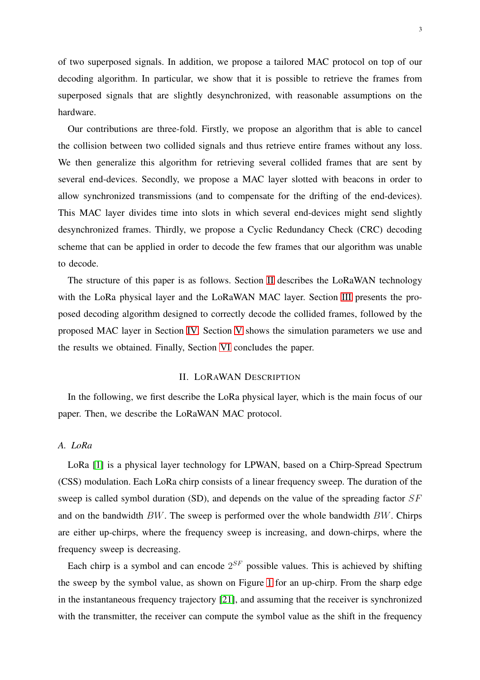of two superposed signals. In addition, we propose a tailored MAC protocol on top of our decoding algorithm. In particular, we show that it is possible to retrieve the frames from superposed signals that are slightly desynchronized, with reasonable assumptions on the hardware.

Our contributions are three-fold. Firstly, we propose an algorithm that is able to cancel the collision between two collided signals and thus retrieve entire frames without any loss. We then generalize this algorithm for retrieving several collided frames that are sent by several end-devices. Secondly, we propose a MAC layer slotted with beacons in order to allow synchronized transmissions (and to compensate for the drifting of the end-devices). This MAC layer divides time into slots in which several end-devices might send slightly desynchronized frames. Thirdly, we propose a Cyclic Redundancy Check (CRC) decoding scheme that can be applied in order to decode the few frames that our algorithm was unable to decode.

The structure of this paper is as follows. Section [II](#page-2-0) describes the LoRaWAN technology with the LoRa physical layer and the LoRaWAN MAC layer. Section [III](#page-5-0) presents the proposed decoding algorithm designed to correctly decode the collided frames, followed by the proposed MAC layer in Section [IV.](#page-15-0) Section [V](#page-17-0) shows the simulation parameters we use and the results we obtained. Finally, Section [VI](#page-24-0) concludes the paper.

## II. LORAWAN DESCRIPTION

<span id="page-2-0"></span>In the following, we first describe the LoRa physical layer, which is the main focus of our paper. Then, we describe the LoRaWAN MAC protocol.

## *A. LoRa*

LoRa [\[1\]](#page-25-0) is a physical layer technology for LPWAN, based on a Chirp-Spread Spectrum (CSS) modulation. Each LoRa chirp consists of a linear frequency sweep. The duration of the sweep is called symbol duration (SD), and depends on the value of the spreading factor SF and on the bandwidth  $BW$ . The sweep is performed over the whole bandwidth  $BW$ . Chirps are either up-chirps, where the frequency sweep is increasing, and down-chirps, where the frequency sweep is decreasing.

Each chirp is a symbol and can encode  $2^{SF}$  possible values. This is achieved by shifting the sweep by the symbol value, as shown on Figure [1](#page-3-0) for an up-chirp. From the sharp edge in the instantaneous frequency trajectory [\[21\]](#page-25-20), and assuming that the receiver is synchronized with the transmitter, the receiver can compute the symbol value as the shift in the frequency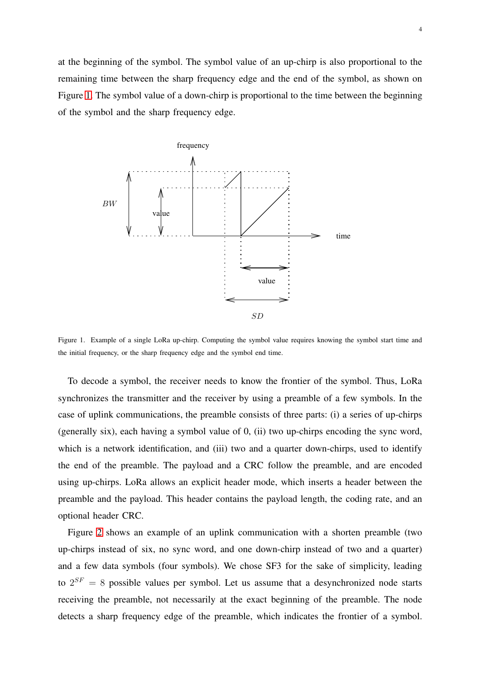at the beginning of the symbol. The symbol value of an up-chirp is also proportional to the remaining time between the sharp frequency edge and the end of the symbol, as shown on Figure [1.](#page-3-0) The symbol value of a down-chirp is proportional to the time between the beginning of the symbol and the sharp frequency edge.



<span id="page-3-0"></span>Figure 1. Example of a single LoRa up-chirp. Computing the symbol value requires knowing the symbol start time and the initial frequency, or the sharp frequency edge and the symbol end time.

To decode a symbol, the receiver needs to know the frontier of the symbol. Thus, LoRa synchronizes the transmitter and the receiver by using a preamble of a few symbols. In the case of uplink communications, the preamble consists of three parts: (i) a series of up-chirps (generally six), each having a symbol value of 0, (ii) two up-chirps encoding the sync word, which is a network identification, and (iii) two and a quarter down-chirps, used to identify the end of the preamble. The payload and a CRC follow the preamble, and are encoded using up-chirps. LoRa allows an explicit header mode, which inserts a header between the preamble and the payload. This header contains the payload length, the coding rate, and an optional header CRC.

Figure [2](#page-4-0) shows an example of an uplink communication with a shorten preamble (two up-chirps instead of six, no sync word, and one down-chirp instead of two and a quarter) and a few data symbols (four symbols). We chose SF3 for the sake of simplicity, leading to  $2^{SF} = 8$  possible values per symbol. Let us assume that a desynchronized node starts receiving the preamble, not necessarily at the exact beginning of the preamble. The node detects a sharp frequency edge of the preamble, which indicates the frontier of a symbol.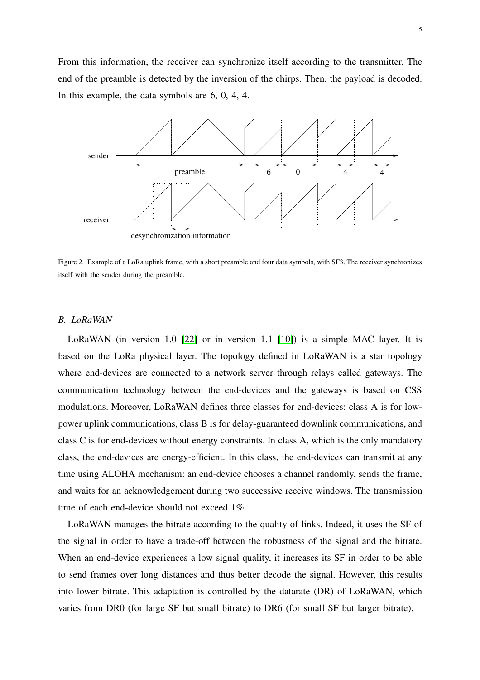From this information, the receiver can synchronize itself according to the transmitter. The end of the preamble is detected by the inversion of the chirps. Then, the payload is decoded. PSfrag replace *Hethis* example, the data symbols are 6, 0, 4, 4.



<span id="page-4-0"></span>Figure 2. Example of a LoRa uplink frame, with a short preamble and four data symbols, with SF3. The receiver synchronizes itself with the sender during the preamble.

#### *B. LoRaWAN*

LoRaWAN (in version 1.0 [\[22\]](#page-26-0) or in version 1.1 [\[10\]](#page-25-9)) is a simple MAC layer. It is based on the LoRa physical layer. The topology defined in LoRaWAN is a star topology where end-devices are connected to a network server through relays called gateways. The communication technology between the end-devices and the gateways is based on CSS modulations. Moreover, LoRaWAN defines three classes for end-devices: class A is for lowpower uplink communications, class B is for delay-guaranteed downlink communications, and class C is for end-devices without energy constraints. In class A, which is the only mandatory class, the end-devices are energy-efficient. In this class, the end-devices can transmit at any time using ALOHA mechanism: an end-device chooses a channel randomly, sends the frame, and waits for an acknowledgement during two successive receive windows. The transmission time of each end-device should not exceed 1%.

LoRaWAN manages the bitrate according to the quality of links. Indeed, it uses the SF of the signal in order to have a trade-off between the robustness of the signal and the bitrate. When an end-device experiences a low signal quality, it increases its SF in order to be able to send frames over long distances and thus better decode the signal. However, this results into lower bitrate. This adaptation is controlled by the datarate (DR) of LoRaWAN, which varies from DR0 (for large SF but small bitrate) to DR6 (for small SF but larger bitrate).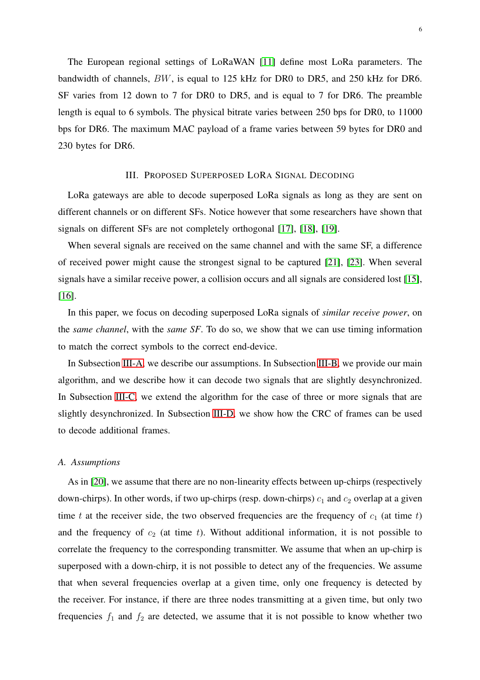The European regional settings of LoRaWAN [\[11\]](#page-25-10) define most LoRa parameters. The bandwidth of channels, BW, is equal to 125 kHz for DR0 to DR5, and 250 kHz for DR6. SF varies from 12 down to 7 for DR0 to DR5, and is equal to 7 for DR6. The preamble length is equal to 6 symbols. The physical bitrate varies between 250 bps for DR0, to 11000 bps for DR6. The maximum MAC payload of a frame varies between 59 bytes for DR0 and 230 bytes for DR6.

#### III. PROPOSED SUPERPOSED LORA SIGNAL DECODING

<span id="page-5-0"></span>LoRa gateways are able to decode superposed LoRa signals as long as they are sent on different channels or on different SFs. Notice however that some researchers have shown that signals on different SFs are not completely orthogonal [\[17\]](#page-25-16), [\[18\]](#page-25-17), [\[19\]](#page-25-18).

When several signals are received on the same channel and with the same SF, a difference of received power might cause the strongest signal to be captured [\[21\]](#page-25-20), [\[23\]](#page-26-1). When several signals have a similar receive power, a collision occurs and all signals are considered lost [\[15\]](#page-25-14), [\[16\]](#page-25-15).

In this paper, we focus on decoding superposed LoRa signals of *similar receive power*, on the *same channel*, with the *same SF*. To do so, we show that we can use timing information to match the correct symbols to the correct end-device.

In Subsection [III-A,](#page-5-1) we describe our assumptions. In Subsection [III-B,](#page-6-0) we provide our main algorithm, and we describe how it can decode two signals that are slightly desynchronized. In Subsection [III-C,](#page-10-0) we extend the algorithm for the case of three or more signals that are slightly desynchronized. In Subsection [III-D,](#page-13-0) we show how the CRC of frames can be used to decode additional frames.

#### <span id="page-5-1"></span>*A. Assumptions*

As in [\[20\]](#page-25-19), we assume that there are no non-linearity effects between up-chirps (respectively down-chirps). In other words, if two up-chirps (resp. down-chirps)  $c_1$  and  $c_2$  overlap at a given time t at the receiver side, the two observed frequencies are the frequency of  $c_1$  (at time t) and the frequency of  $c_2$  (at time t). Without additional information, it is not possible to correlate the frequency to the corresponding transmitter. We assume that when an up-chirp is superposed with a down-chirp, it is not possible to detect any of the frequencies. We assume that when several frequencies overlap at a given time, only one frequency is detected by the receiver. For instance, if there are three nodes transmitting at a given time, but only two frequencies  $f_1$  and  $f_2$  are detected, we assume that it is not possible to know whether two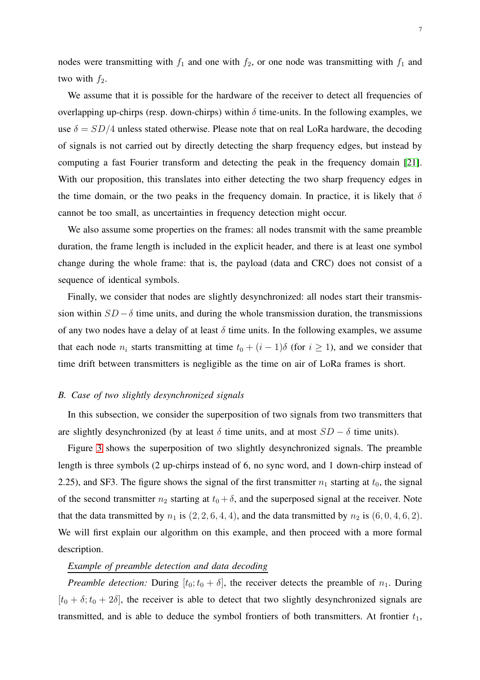nodes were transmitting with  $f_1$  and one with  $f_2$ , or one node was transmitting with  $f_1$  and two with  $f_2$ .

We assume that it is possible for the hardware of the receiver to detect all frequencies of overlapping up-chirps (resp. down-chirps) within  $\delta$  time-units. In the following examples, we use  $\delta = SD/4$  unless stated otherwise. Please note that on real LoRa hardware, the decoding of signals is not carried out by directly detecting the sharp frequency edges, but instead by computing a fast Fourier transform and detecting the peak in the frequency domain [\[21\]](#page-25-20). With our proposition, this translates into either detecting the two sharp frequency edges in the time domain, or the two peaks in the frequency domain. In practice, it is likely that  $\delta$ cannot be too small, as uncertainties in frequency detection might occur.

We also assume some properties on the frames: all nodes transmit with the same preamble duration, the frame length is included in the explicit header, and there is at least one symbol change during the whole frame: that is, the payload (data and CRC) does not consist of a sequence of identical symbols.

Finally, we consider that nodes are slightly desynchronized: all nodes start their transmission within  $SD - \delta$  time units, and during the whole transmission duration, the transmissions of any two nodes have a delay of at least  $\delta$  time units. In the following examples, we assume that each node  $n_i$  starts transmitting at time  $t_0 + (i - 1)\delta$  (for  $i \ge 1$ ), and we consider that time drift between transmitters is negligible as the time on air of LoRa frames is short.

## <span id="page-6-0"></span>*B. Case of two slightly desynchronized signals*

In this subsection, we consider the superposition of two signals from two transmitters that are slightly desynchronized (by at least  $\delta$  time units, and at most  $SD - \delta$  time units).

Figure [3](#page-7-0) shows the superposition of two slightly desynchronized signals. The preamble length is three symbols (2 up-chirps instead of 6, no sync word, and 1 down-chirp instead of 2.25), and SF3. The figure shows the signal of the first transmitter  $n_1$  starting at  $t_0$ , the signal of the second transmitter  $n_2$  starting at  $t_0 + \delta$ , and the superposed signal at the receiver. Note that the data transmitted by  $n_1$  is  $(2, 2, 6, 4, 4)$ , and the data transmitted by  $n_2$  is  $(6, 0, 4, 6, 2)$ . We will first explain our algorithm on this example, and then proceed with a more formal description.

## *Example of preamble detection and data decoding*

*Preamble detection:* During  $[t_0; t_0 + \delta]$ , the receiver detects the preamble of  $n_1$ . During  $[t<sub>0</sub> + \delta; t<sub>0</sub> + 2\delta]$ , the receiver is able to detect that two slightly desynchronized signals are transmitted, and is able to deduce the symbol frontiers of both transmitters. At frontier  $t_1$ ,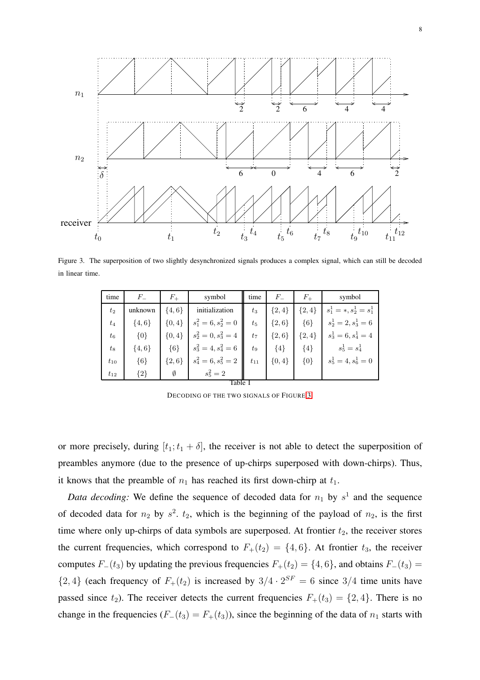

Figure 3. The superposition of two slightly desynchronized signals produces a complex signal, which can still be decoded in linear time.

<span id="page-7-0"></span>

| time     | $F_{-}$    | $F_{+}$    | symbol                 | time     | $F_{-}$    | $F_{+}$   | symbol                     |
|----------|------------|------------|------------------------|----------|------------|-----------|----------------------------|
| $t_2$    | unknown    | $\{4, 6\}$ | initialization         | $t_3$    | $\{2,4\}$  | $\{2,4\}$ | $s_1^1 = *, s_2^1 = s_1^1$ |
| $t_4$    | $\{4, 6\}$ | $\{0,4\}$  | $s_1^2 = 6, s_2^2 = 0$ | $t_{5}$  | $\{2,6\}$  | ${6}$     | $s_2^1 = 2, s_3^1 = 6$     |
| $t_{6}$  | $\{0\}$    | $\{0,4\}$  | $s_2^2=0, s_3^2=4$     | $t_7$    | $\{2,6\}$  | $\{2,4\}$ | $s_3^1 = 6, s_4^1 = 4$     |
| $t_{8}$  | $\{4, 6\}$ | $\{6\}$    | $s_3^2=4, s_4^2=6$     | $t_{9}$  | ${4}$      | ${4}$     | $s_5^1 = s_4^1$            |
| $t_{10}$ | ${6}$      | $\{2,6\}$  | $s_4^2=6, s_5^2=2$     | $t_{11}$ | $\{0, 4\}$ | $\{0\}$   | $s_5^1 = 4, s_6^1 = 0$     |
| $t_{12}$ | ${2}$      | Ø          | $s_5^2 = 2$            |          |            |           |                            |
| lable    |            |            |                        |          |            |           |                            |

DECODING OF THE TWO SIGNALS OF FIGURE [3.](#page-7-0)

or more precisely, during  $[t_1; t_1 + \delta]$ , the receiver is not able to detect the superposition of preambles anymore (due to the presence of up-chirps superposed with down-chirps). Thus, it knows that the preamble of  $n_1$  has reached its first down-chirp at  $t_1$ .

*Data decoding:* We define the sequence of decoded data for  $n_1$  by  $s^1$  and the sequence of decoded data for  $n_2$  by  $s^2$ .  $t_2$ , which is the beginning of the payload of  $n_2$ , is the first time where only up-chirps of data symbols are superposed. At frontier  $t_2$ , the receiver stores the current frequencies, which correspond to  $F_+(t_2) = \{4, 6\}$ . At frontier  $t_3$ , the receiver computes  $F_-(t_3)$  by updating the previous frequencies  $F_+(t_2) = \{4, 6\}$ , and obtains  $F_-(t_3) =$  $\{2, 4\}$  (each frequency of  $F_+(t_2)$  is increased by  $3/4 \cdot 2^{SF} = 6$  since  $3/4$  time units have passed since  $t_2$ ). The receiver detects the current frequencies  $F_+(t_3) = \{2, 4\}$ . There is no change in the frequencies  $(F_-(t_3) = F_+(t_3))$ , since the beginning of the data of  $n_1$  starts with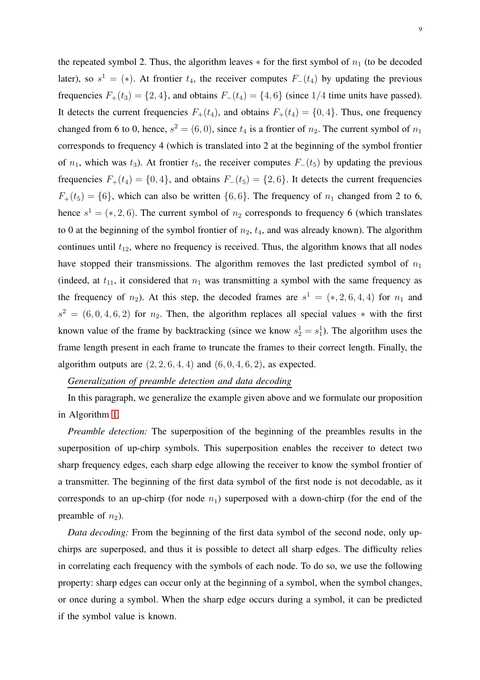the repeated symbol 2. Thus, the algorithm leaves  $*$  for the first symbol of  $n_1$  (to be decoded later), so  $s^1 = (*)$ . At frontier  $t_4$ , the receiver computes  $F_-(t_4)$  by updating the previous frequencies  $F_+(t_3) = \{2, 4\}$ , and obtains  $F_-(t_4) = \{4, 6\}$  (since 1/4 time units have passed). It detects the current frequencies  $F_+(t_4)$ , and obtains  $F_+(t_4) = \{0, 4\}$ . Thus, one frequency changed from 6 to 0, hence,  $s^2 = (6, 0)$ , since  $t_4$  is a frontier of  $n_2$ . The current symbol of  $n_1$ corresponds to frequency 4 (which is translated into 2 at the beginning of the symbol frontier of  $n_1$ , which was  $t_3$ ). At frontier  $t_5$ , the receiver computes  $F_-(t_5)$  by updating the previous frequencies  $F_+(t_4) = \{0, 4\}$ , and obtains  $F_-(t_5) = \{2, 6\}$ . It detects the current frequencies  $F_+(t_5) = \{6\}$ , which can also be written  $\{6, 6\}$ . The frequency of  $n_1$  changed from 2 to 6, hence  $s^1 = (*, 2, 6)$ . The current symbol of  $n_2$  corresponds to frequency 6 (which translates to 0 at the beginning of the symbol frontier of  $n_2$ ,  $t_4$ , and was already known). The algorithm continues until  $t_{12}$ , where no frequency is received. Thus, the algorithm knows that all nodes have stopped their transmissions. The algorithm removes the last predicted symbol of  $n_1$ (indeed, at  $t_{11}$ , it considered that  $n_1$  was transmitting a symbol with the same frequency as the frequency of  $n_2$ ). At this step, the decoded frames are  $s^1 = (*, 2, 6, 4, 4)$  for  $n_1$  and  $s<sup>2</sup> = (6, 0, 4, 6, 2)$  for  $n<sub>2</sub>$ . Then, the algorithm replaces all special values \* with the first known value of the frame by backtracking (since we know  $s_2^1 = s_1^1$ ). The algorithm uses the frame length present in each frame to truncate the frames to their correct length. Finally, the algorithm outputs are  $(2, 2, 6, 4, 4)$  and  $(6, 0, 4, 6, 2)$ , as expected.

# *Generalization of preamble detection and data decoding*

In this paragraph, we generalize the example given above and we formulate our proposition in Algorithm [1.](#page-10-1)

*Preamble detection:* The superposition of the beginning of the preambles results in the superposition of up-chirp symbols. This superposition enables the receiver to detect two sharp frequency edges, each sharp edge allowing the receiver to know the symbol frontier of a transmitter. The beginning of the first data symbol of the first node is not decodable, as it corresponds to an up-chirp (for node  $n_1$ ) superposed with a down-chirp (for the end of the preamble of  $n_2$ ).

*Data decoding:* From the beginning of the first data symbol of the second node, only upchirps are superposed, and thus it is possible to detect all sharp edges. The difficulty relies in correlating each frequency with the symbols of each node. To do so, we use the following property: sharp edges can occur only at the beginning of a symbol, when the symbol changes, or once during a symbol. When the sharp edge occurs during a symbol, it can be predicted if the symbol value is known.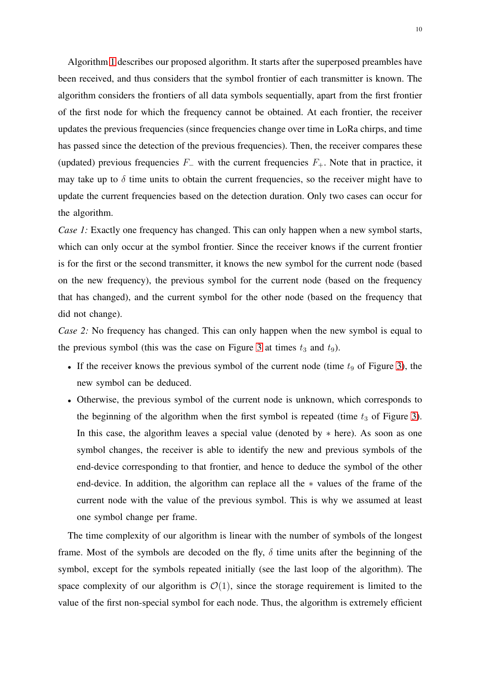Algorithm [1](#page-10-1) describes our proposed algorithm. It starts after the superposed preambles have been received, and thus considers that the symbol frontier of each transmitter is known. The algorithm considers the frontiers of all data symbols sequentially, apart from the first frontier of the first node for which the frequency cannot be obtained. At each frontier, the receiver updates the previous frequencies (since frequencies change over time in LoRa chirps, and time has passed since the detection of the previous frequencies). Then, the receiver compares these (updated) previous frequencies  $F_+$  with the current frequencies  $F_+$ . Note that in practice, it may take up to  $\delta$  time units to obtain the current frequencies, so the receiver might have to update the current frequencies based on the detection duration. Only two cases can occur for the algorithm.

*Case 1:* Exactly one frequency has changed. This can only happen when a new symbol starts, which can only occur at the symbol frontier. Since the receiver knows if the current frontier is for the first or the second transmitter, it knows the new symbol for the current node (based on the new frequency), the previous symbol for the current node (based on the frequency that has changed), and the current symbol for the other node (based on the frequency that did not change).

*Case 2:* No frequency has changed. This can only happen when the new symbol is equal to the previous symbol (this was the case on Figure [3](#page-7-0) at times  $t_3$  and  $t_9$ ).

- If the receiver knows the previous symbol of the current node (time  $t_9$  of Figure [3\)](#page-7-0), the new symbol can be deduced.
- Otherwise, the previous symbol of the current node is unknown, which corresponds to the beginning of the algorithm when the first symbol is repeated (time  $t_3$  of Figure [3\)](#page-7-0). In this case, the algorithm leaves a special value (denoted by  $*$  here). As soon as one symbol changes, the receiver is able to identify the new and previous symbols of the end-device corresponding to that frontier, and hence to deduce the symbol of the other end-device. In addition, the algorithm can replace all the ∗ values of the frame of the current node with the value of the previous symbol. This is why we assumed at least one symbol change per frame.

The time complexity of our algorithm is linear with the number of symbols of the longest frame. Most of the symbols are decoded on the fly,  $\delta$  time units after the beginning of the symbol, except for the symbols repeated initially (see the last loop of the algorithm). The space complexity of our algorithm is  $\mathcal{O}(1)$ , since the storage requirement is limited to the value of the first non-special symbol for each node. Thus, the algorithm is extremely efficient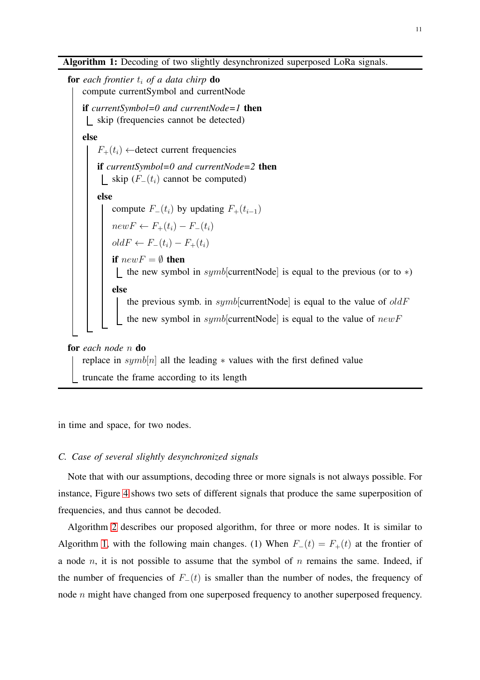for *each frontier*  $t_i$  *of a data chirp* **do** compute currentSymbol and currentNode if *currentSymbol=0 and currentNode=1* then skip (frequencies cannot be detected) else  $F_+(t_i) \leftarrow$ detect current frequencies if *currentSymbol=0 and currentNode=2* then | skip ( $F_-(t_i)$  cannot be computed) else compute  $F_-(t_i)$  by updating  $F_+(t_{i-1})$  $newF \leftarrow F_+(t_i) - F_-(t_i)$  $oldF \leftarrow F_-(t_i) - F_+(t_i)$ if  $newF = \emptyset$  then the new symbol in  $symb$ [currentNode] is equal to the previous (or to  $*)$ else the previous symb. in  $symb$ [currentNode] is equal to the value of  $oldF$ the new symbol in  $symb$ [currentNode] is equal to the value of  $newF$ for *each node* n do

<span id="page-10-1"></span>replace in  $symb[n]$  all the leading  $*$  values with the first defined value truncate the frame according to its length

<span id="page-10-0"></span>in time and space, for two nodes.

## *C. Case of several slightly desynchronized signals*

Note that with our assumptions, decoding three or more signals is not always possible. For instance, Figure [4](#page-11-0) shows two sets of different signals that produce the same superposition of frequencies, and thus cannot be decoded.

Algorithm [2](#page-12-0) describes our proposed algorithm, for three or more nodes. It is similar to Algorithm [1,](#page-10-1) with the following main changes. (1) When  $F_-(t) = F_+(t)$  at the frontier of a node n, it is not possible to assume that the symbol of n remains the same. Indeed, if the number of frequencies of  $F_-(t)$  is smaller than the number of nodes, the frequency of node *n* might have changed from one superposed frequency to another superposed frequency.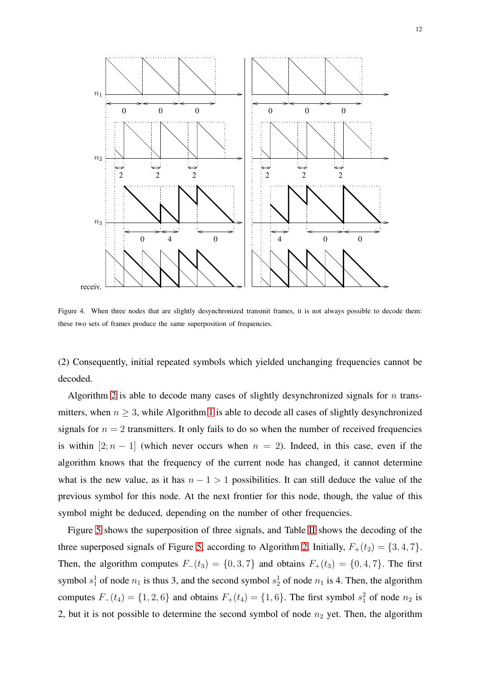

<span id="page-11-0"></span>Figure 4. When three nodes that are slightly desynchronized transmit frames, it is not always possible to decode them: these two sets of frames produce the same superposition of frequencies.

(2) Consequently, initial repeated symbols which yielded unchanging frequencies cannot be decoded.

Algorithm [2](#page-12-0) is able to decode many cases of slightly desynchronized signals for  $n$  transmitters, when  $n \geq 3$ , while Algorithm [1](#page-10-1) is able to decode all cases of slightly desynchronized signals for  $n = 2$  transmitters. It only fails to do so when the number of received frequencies is within  $[2; n - 1]$  (which never occurs when  $n = 2$ ). Indeed, in this case, even if the algorithm knows that the frequency of the current node has changed, it cannot determine what is the new value, as it has  $n - 1 > 1$  possibilities. It can still deduce the value of the previous symbol for this node. At the next frontier for this node, though, the value of this symbol might be deduced, depending on the number of other frequencies.

Figure [5](#page-13-1) shows the superposition of three signals, and Table [II](#page-12-1) shows the decoding of the three superposed signals of Figure [5,](#page-13-1) according to Algorithm [2.](#page-12-0) Initially,  $F_+(t_2) = \{3, 4, 7\}$ . Then, the algorithm computes  $F_-(t_3) = \{0,3,7\}$  and obtains  $F_+(t_3) = \{0,4,7\}$ . The first symbol  $s_1^1$  of node  $n_1$  is thus 3, and the second symbol  $s_2^1$  of node  $n_1$  is 4. Then, the algorithm computes  $F_-(t_4) = \{1, 2, 6\}$  and obtains  $F_+(t_4) = \{1, 6\}$ . The first symbol  $s_1^2$  of node  $n_2$  is 2, but it is not possible to determine the second symbol of node  $n_2$  yet. Then, the algorithm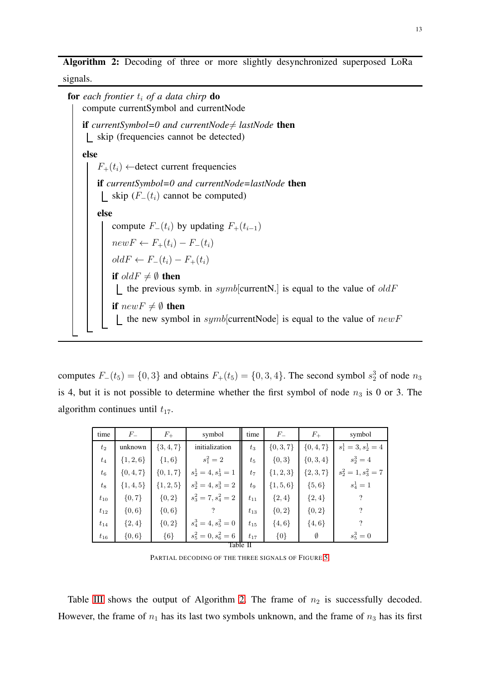Algorithm 2: Decoding of three or more slightly desynchronized superposed LoRa signals.

**for** each frontier  $t_i$  of a data chirp **do** compute currentSymbol and currentNode if *currentSymbol=0 and currentNode* $\neq$  *lastNode* then skip (frequencies cannot be detected) else  $F_+(t_i) \leftarrow$ detect current frequencies if *currentSymbol=0 and currentNode=lastNode* then | skip  $(F_-(t_i))$  cannot be computed) else compute  $F_-(t_i)$  by updating  $F_+(t_{i-1})$  $newF \leftarrow F_+(t_i) - F_-(t_i)$  $oldF \leftarrow F_-(t_i) - F_+(t_i)$ if  $oldF\neq \emptyset$  then  $\lfloor$  the previous symb. in *symb*[currentN.] is equal to the value of *oldF* if  $newF \neq \emptyset$  then  $\lfloor$  the new symbol in symb[currentNode] is equal to the value of new F

<span id="page-12-0"></span>computes  $F_-(t_5) = \{0,3\}$  and obtains  $F_+(t_5) = \{0,3,4\}$ . The second symbol  $s_2^3$  of node  $n_3$ is 4, but it is not possible to determine whether the first symbol of node  $n_3$  is 0 or 3. The algorithm continues until  $t_{17}$ .

| time     | $F_{-}$       | $F_{+}$       | symbol                 | time     | $F_{-}$       | $F_{+}$       | symbol                 |
|----------|---------------|---------------|------------------------|----------|---------------|---------------|------------------------|
| $t_2$    | unknown       | $\{3, 4, 7\}$ | initialization         | $t_3$    | $\{0, 3, 7\}$ | $\{0, 4, 7\}$ | $s_1^1 = 3, s_2^1 = 4$ |
| $t_4$    | $\{1, 2, 6\}$ | $\{1,6\}$     | $s_1^2 = 2$            | $t_{5}$  | ${0,3}$       | $\{0, 3, 4\}$ | $s_2^3 = 4$            |
| $t_{6}$  | $\{0, 4, 7\}$ | $\{0, 1, 7\}$ | $s_2^1 = 4, s_3^1 = 1$ | $t_7$    | $\{1, 2, 3\}$ | $\{2, 3, 7\}$ | $s_2^2=1, s_3^2=7$     |
| $t_{8}$  | $\{1, 4, 5\}$ | $\{1, 2, 5\}$ | $s_2^3 = 4, s_3^3 = 2$ | $t_{9}$  | $\{1, 5, 6\}$ | $\{5,6\}$     | $s_4^1 = 1$            |
| $t_{10}$ | ${0, 7}$      | ${0, 2}$      | $s_3^2 = 7, s_4^2 = 2$ | $t_{11}$ | ${2,4}$       | ${2,4}$       |                        |
| $t_{12}$ | $\{0,6\}$     | $\{0,6\}$     |                        | $t_{13}$ | ${0, 2}$      | ${0, 2}$      | ?                      |
| $t_{14}$ | $\{2,4\}$     | ${0, 2}$      | $s_4^3 = 4, s_5^3 = 0$ | $t_{15}$ | $\{4, 6\}$    | $\{4, 6\}$    | ?                      |
| $t_{16}$ | $\{0,6\}$     | ${6}$         | $s_5^2=0, s_6^2=6$     | $t_{17}$ | ${0}$         | Ø             | $s_5^3 = 0$            |
| Table    |               |               |                        |          |               |               |                        |

PARTIAL DECODING OF THE THREE SIGNALS OF FIGURE [5.](#page-13-1)

<span id="page-12-1"></span>Table [III](#page-13-2) shows the output of Algorithm [2.](#page-12-0) The frame of  $n_2$  is successfully decoded. However, the frame of  $n_1$  has its last two symbols unknown, and the frame of  $n_3$  has its first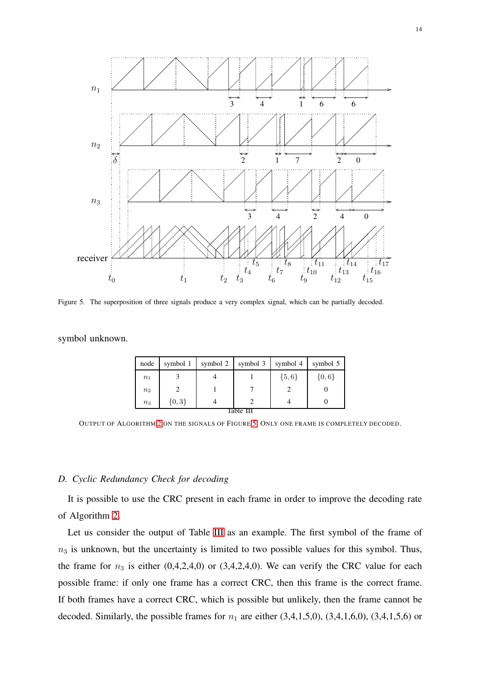

<span id="page-13-1"></span>Figure 5. The superposition of three signals produce a very complex signal, which can be partially decoded.

symbol unknown.

| node      | symbol 1 | symbol 2 | symbol 3 | symbol 4  | symbol 5  |  |
|-----------|----------|----------|----------|-----------|-----------|--|
| $n_1$     |          |          |          | $\{5,6\}$ | $\{0,6\}$ |  |
| $n_2$     |          |          |          |           |           |  |
| $n_3$     | ${0,3}$  |          |          |           |           |  |
| Table III |          |          |          |           |           |  |

<span id="page-13-2"></span>OUTPUT OF ALGORITHM [2](#page-12-0) ON THE SIGNALS OF FIGURE [5.](#page-13-1) ONLY ONE FRAME IS COMPLETELY DECODED.

#### <span id="page-13-0"></span>*D. Cyclic Redundancy Check for decoding*

It is possible to use the CRC present in each frame in order to improve the decoding rate of Algorithm [2.](#page-12-0)

Let us consider the output of Table [III](#page-13-2) as an example. The first symbol of the frame of  $n<sub>3</sub>$  is unknown, but the uncertainty is limited to two possible values for this symbol. Thus, the frame for  $n_3$  is either (0,4,2,4,0) or (3,4,2,4,0). We can verify the CRC value for each possible frame: if only one frame has a correct CRC, then this frame is the correct frame. If both frames have a correct CRC, which is possible but unlikely, then the frame cannot be decoded. Similarly, the possible frames for  $n_1$  are either (3,4,1,5,0), (3,4,1,6,0), (3,4,1,5,6) or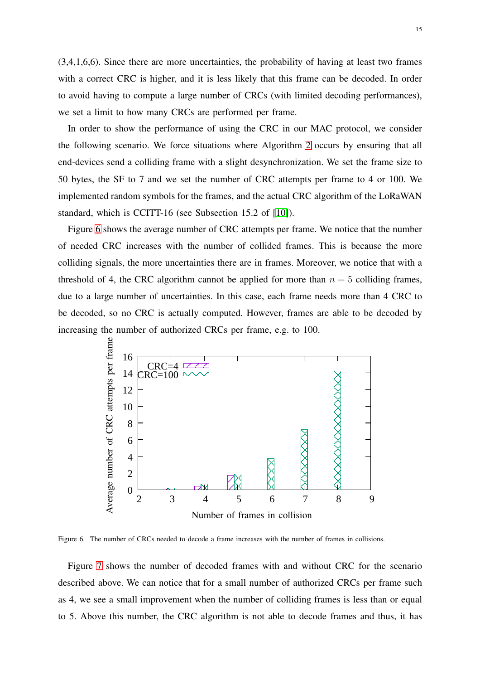(3,4,1,6,6). Since there are more uncertainties, the probability of having at least two frames with a correct CRC is higher, and it is less likely that this frame can be decoded. In order to avoid having to compute a large number of CRCs (with limited decoding performances), we set a limit to how many CRCs are performed per frame.

In order to show the performance of using the CRC in our MAC protocol, we consider the following scenario. We force situations where Algorithm [2](#page-12-0) occurs by ensuring that all end-devices send a colliding frame with a slight desynchronization. We set the frame size to 50 bytes, the SF to 7 and we set the number of CRC attempts per frame to 4 or 100. We implemented random symbols for the frames, and the actual CRC algorithm of the LoRaWAN standard, which is CCITT-16 (see Subsection 15.2 of [\[10\]](#page-25-9)).

Figure [6](#page-14-0) shows the average number of CRC attempts per frame. We notice that the number of needed CRC increases with the number of collided frames. This is because the more colliding signals, the more uncertainties there are in frames. Moreover, we notice that with a threshold of 4, the CRC algorithm cannot be applied for more than  $n = 5$  colliding frames, due to a large number of uncertainties. In this case, each frame needs more than 4 CRC to be decoded, so no CRC is actually computed. However, frames are able to be decoded by increasing the number of authorized CRCs per frame, e.g. to 100.



<span id="page-14-0"></span>Figure 6. The number of CRCs needed to decode a frame increases with the number of frames in collisions.

Figure [7](#page-15-1) shows the number of decoded frames with and without CRC for the scenario described above. We can notice that for a small number of authorized CRCs per frame such as 4, we see a small improvement when the number of colliding frames is less than or equal to 5. Above this number, the CRC algorithm is not able to decode frames and thus, it has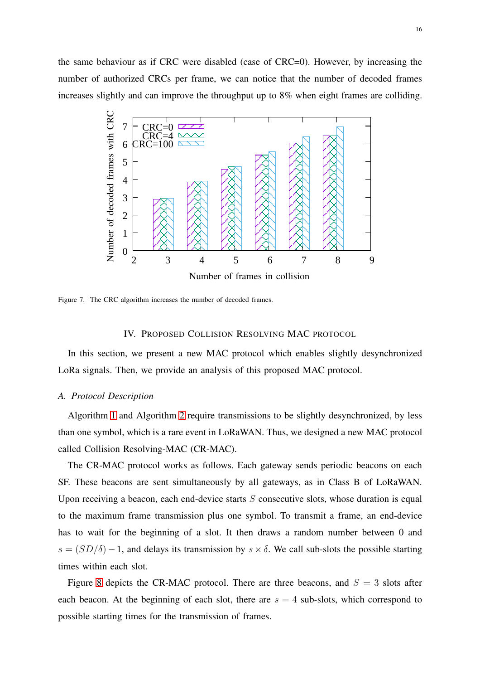the same behaviour as if CRC were disabled (case of CRC=0). However, by increasing the number of authorized CRCs per frame, we can notice that the number of decoded frames increases slightly and can improve the throughput up to 8% when eight frames are colliding.



<span id="page-15-1"></span><span id="page-15-0"></span>Figure 7. The CRC algorithm increases the number of decoded frames.

# IV. PROPOSED COLLISION RESOLVING MAC PROTOCOL

In this section, we present a new MAC protocol which enables slightly desynchronized LoRa signals. Then, we provide an analysis of this proposed MAC protocol.

# *A. Protocol Description*

Algorithm [1](#page-10-1) and Algorithm [2](#page-12-0) require transmissions to be slightly desynchronized, by less than one symbol, which is a rare event in LoRaWAN. Thus, we designed a new MAC protocol called Collision Resolving-MAC (CR-MAC).

The CR-MAC protocol works as follows. Each gateway sends periodic beacons on each SF. These beacons are sent simultaneously by all gateways, as in Class B of LoRaWAN. Upon receiving a beacon, each end-device starts  $S$  consecutive slots, whose duration is equal to the maximum frame transmission plus one symbol. To transmit a frame, an end-device has to wait for the beginning of a slot. It then draws a random number between 0 and  $s = (SD/\delta) - 1$ , and delays its transmission by  $s \times \delta$ . We call sub-slots the possible starting times within each slot.

Figure [8](#page-16-0) depicts the CR-MAC protocol. There are three beacons, and  $S = 3$  slots after each beacon. At the beginning of each slot, there are  $s = 4$  sub-slots, which correspond to possible starting times for the transmission of frames.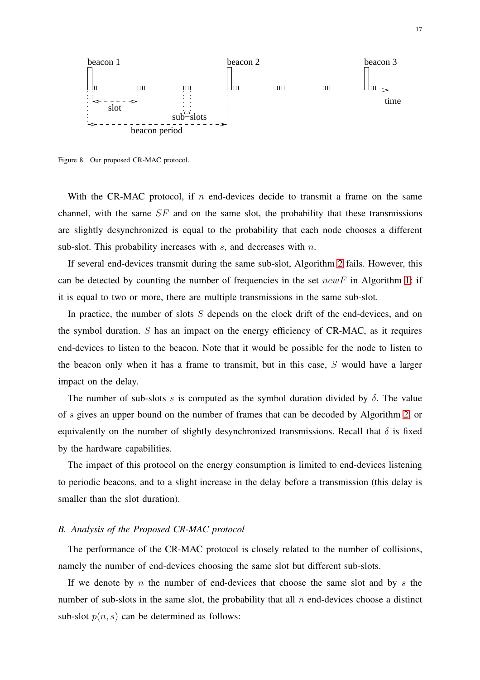

<span id="page-16-0"></span>Figure 8. Our proposed CR-MAC protocol.

With the CR-MAC protocol, if n end-devices decide to transmit a frame on the same channel, with the same  $SF$  and on the same slot, the probability that these transmissions are slightly desynchronized is equal to the probability that each node chooses a different sub-slot. This probability increases with  $s$ , and decreases with  $n$ .

If several end-devices transmit during the same sub-slot, Algorithm [2](#page-12-0) fails. However, this can be detected by counting the number of frequencies in the set  $newF$  in Algorithm [1:](#page-10-1) if it is equal to two or more, there are multiple transmissions in the same sub-slot.

In practice, the number of slots  $S$  depends on the clock drift of the end-devices, and on the symbol duration.  $S$  has an impact on the energy efficiency of  $CR-MAC$ , as it requires end-devices to listen to the beacon. Note that it would be possible for the node to listen to the beacon only when it has a frame to transmit, but in this case, S would have a larger impact on the delay.

The number of sub-slots s is computed as the symbol duration divided by  $\delta$ . The value of s gives an upper bound on the number of frames that can be decoded by Algorithm [2,](#page-12-0) or equivalently on the number of slightly desynchronized transmissions. Recall that  $\delta$  is fixed by the hardware capabilities.

The impact of this protocol on the energy consumption is limited to end-devices listening to periodic beacons, and to a slight increase in the delay before a transmission (this delay is smaller than the slot duration).

#### *B. Analysis of the Proposed CR-MAC protocol*

The performance of the CR-MAC protocol is closely related to the number of collisions, namely the number of end-devices choosing the same slot but different sub-slots.

If we denote by n the number of end-devices that choose the same slot and by s the number of sub-slots in the same slot, the probability that all  $n$  end-devices choose a distinct sub-slot  $p(n, s)$  can be determined as follows: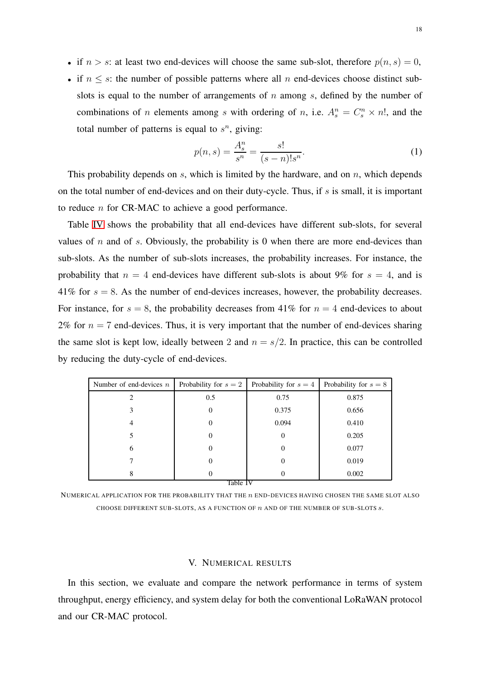- if  $n > s$ : at least two end-devices will choose the same sub-slot, therefore  $p(n, s) = 0$ ,
- if  $n \leq s$ : the number of possible patterns where all n end-devices choose distinct subslots is equal to the number of arrangements of  $n$  among  $s$ , defined by the number of combinations of *n* elements among *s* with ordering of *n*, i.e.  $A_s^n = C_s^n \times n!$ , and the total number of patterns is equal to  $s^n$ , giving:

$$
p(n,s) = \frac{A_s^n}{s^n} = \frac{s!}{(s-n)!s^n}.
$$
 (1)

This probability depends on  $s$ , which is limited by the hardware, and on  $n$ , which depends on the total number of end-devices and on their duty-cycle. Thus, if  $s$  is small, it is important to reduce n for CR-MAC to achieve a good performance.

Table [IV](#page-17-1) shows the probability that all end-devices have different sub-slots, for several values of  $n$  and of  $s$ . Obviously, the probability is 0 when there are more end-devices than sub-slots. As the number of sub-slots increases, the probability increases. For instance, the probability that  $n = 4$  end-devices have different sub-slots is about 9% for  $s = 4$ , and is 41% for  $s = 8$ . As the number of end-devices increases, however, the probability decreases. For instance, for  $s = 8$ , the probability decreases from 41% for  $n = 4$  end-devices to about 2% for  $n = 7$  end-devices. Thus, it is very important that the number of end-devices sharing the same slot is kept low, ideally between 2 and  $n = s/2$ . In practice, this can be controlled by reducing the duty-cycle of end-devices.

| Number of end-devices $n$ | Probability for $s = 2$ | Probability for $s = 4$ | Probability for $s = 8$ |  |  |  |
|---------------------------|-------------------------|-------------------------|-------------------------|--|--|--|
| 2                         | 0.5                     | 0.75                    | 0.875                   |  |  |  |
| 3                         | 0                       | 0.375                   | 0.656                   |  |  |  |
| 4                         | O                       | 0.094                   | 0.410                   |  |  |  |
| 5                         | $\theta$                | $\Omega$                | 0.205                   |  |  |  |
| 6                         | O                       | 0                       | 0.077                   |  |  |  |
|                           | O                       | 0                       | 0.019                   |  |  |  |
| 8                         | $\theta$                | 0                       | 0.002                   |  |  |  |
| Table IV                  |                         |                         |                         |  |  |  |

<span id="page-17-1"></span>NUMERICAL APPLICATION FOR THE PROBABILITY THAT THE n END-DEVICES HAVING CHOSEN THE SAME SLOT ALSO CHOOSE DIFFERENT SUB-SLOTS, AS A FUNCTION OF  $n$  and of the number of sub-slots  $s$ .

## V. NUMERICAL RESULTS

<span id="page-17-0"></span>In this section, we evaluate and compare the network performance in terms of system throughput, energy efficiency, and system delay for both the conventional LoRaWAN protocol and our CR-MAC protocol.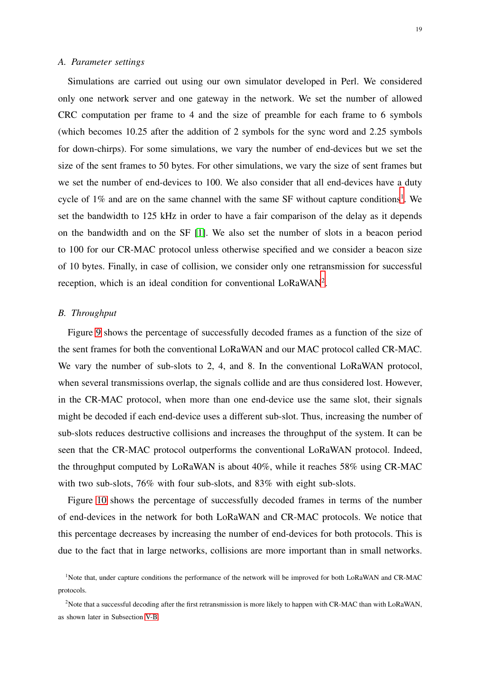#### *A. Parameter settings*

Simulations are carried out using our own simulator developed in Perl. We considered only one network server and one gateway in the network. We set the number of allowed CRC computation per frame to 4 and the size of preamble for each frame to 6 symbols (which becomes 10.25 after the addition of 2 symbols for the sync word and 2.25 symbols for down-chirps). For some simulations, we vary the number of end-devices but we set the size of the sent frames to 50 bytes. For other simulations, we vary the size of sent frames but we set the number of end-devices to 100. We also consider that all end-devices have a duty cycle of  $1\%$  $1\%$  and are on the same channel with the same SF without capture conditions<sup>1</sup>. We set the bandwidth to 125 kHz in order to have a fair comparison of the delay as it depends on the bandwidth and on the SF [\[1\]](#page-25-0). We also set the number of slots in a beacon period to 100 for our CR-MAC protocol unless otherwise specified and we consider a beacon size of 10 bytes. Finally, in case of collision, we consider only one retransmission for successful reception, which is an ideal condition for conventional LoRaWAN<sup>[2](#page-18-1)</sup>.

## <span id="page-18-2"></span>*B. Throughput*

Figure [9](#page-19-0) shows the percentage of successfully decoded frames as a function of the size of the sent frames for both the conventional LoRaWAN and our MAC protocol called CR-MAC. We vary the number of sub-slots to 2, 4, and 8. In the conventional LoRaWAN protocol, when several transmissions overlap, the signals collide and are thus considered lost. However, in the CR-MAC protocol, when more than one end-device use the same slot, their signals might be decoded if each end-device uses a different sub-slot. Thus, increasing the number of sub-slots reduces destructive collisions and increases the throughput of the system. It can be seen that the CR-MAC protocol outperforms the conventional LoRaWAN protocol. Indeed, the throughput computed by LoRaWAN is about 40%, while it reaches 58% using CR-MAC with two sub-slots, 76% with four sub-slots, and 83% with eight sub-slots.

Figure [10](#page-19-1) shows the percentage of successfully decoded frames in terms of the number of end-devices in the network for both LoRaWAN and CR-MAC protocols. We notice that this percentage decreases by increasing the number of end-devices for both protocols. This is due to the fact that in large networks, collisions are more important than in small networks.

<span id="page-18-0"></span><sup>&</sup>lt;sup>1</sup>Note that, under capture conditions the performance of the network will be improved for both LoRaWAN and CR-MAC protocols.

<span id="page-18-1"></span><sup>&</sup>lt;sup>2</sup>Note that a successful decoding after the first retransmission is more likely to happen with CR-MAC than with LoRaWAN, as shown later in Subsection [V-B.](#page-18-2)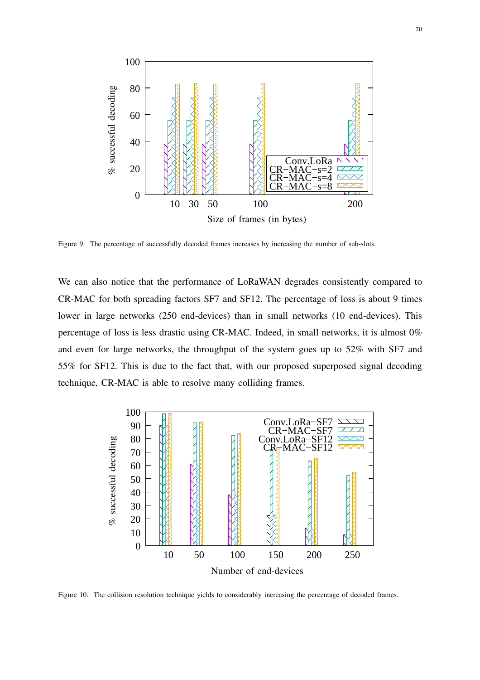

<span id="page-19-0"></span>Figure 9. The percentage of successfully decoded frames increases by increasing the number of sub-slots.

We can also notice that the performance of LoRaWAN degrades consistently compared to CR-MAC for both spreading factors SF7 and SF12. The percentage of loss is about 9 times lower in large networks (250 end-devices) than in small networks (10 end-devices). This percentage of loss is less drastic using CR-MAC. Indeed, in small networks, it is almost 0% and even for large networks, the throughput of the system goes up to 52% with SF7 and 55% for SF12. This is due to the fact that, with our proposed superposed signal decoding technique, CR-MAC is able to resolve many colliding frames.



<span id="page-19-1"></span>Figure 10. The collision resolution technique yields to considerably increasing the percentage of decoded frames.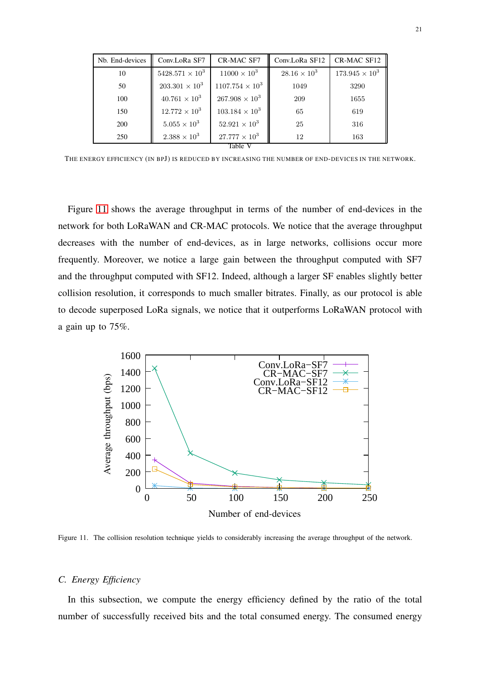| Nb. End-devices | Conv.LoRa SF7          | CR-MAC SF7             | Conv.LoRa SF12      | CR-MAC SF12           |  |  |
|-----------------|------------------------|------------------------|---------------------|-----------------------|--|--|
| 10              | $5428.571 \times 10^3$ | $11000 \times 10^{3}$  | $28.16 \times 10^3$ | $173.945 \times 10^3$ |  |  |
| 50              | $203.301 \times 10^3$  | $1107.754 \times 10^3$ | 1049                | 3290                  |  |  |
| 100             | $40.761 \times 10^3$   | $267.908 \times 10^3$  | 209                 | 1655                  |  |  |
| 150             | $12.772 \times 10^3$   | $103.184 \times 10^3$  | 65                  | 619                   |  |  |
| 200             | $5.055 \times 10^{3}$  | $52.921 \times 10^3$   | 25                  | 316                   |  |  |
| 250             | $2.388 \times 10^{3}$  | $27.777 \times 10^3$   | 12                  | 163                   |  |  |
| Table V         |                        |                        |                     |                       |  |  |

<span id="page-20-1"></span>THE ENERGY EFFICIENCY (IN BPJ) IS REDUCED BY INCREASING THE NUMBER OF END-DEVICES IN THE NETWORK.

Figure [11](#page-20-0) shows the average throughput in terms of the number of end-devices in the network for both LoRaWAN and CR-MAC protocols. We notice that the average throughput decreases with the number of end-devices, as in large networks, collisions occur more frequently. Moreover, we notice a large gain between the throughput computed with SF7 and the throughput computed with SF12. Indeed, although a larger SF enables slightly better collision resolution, it corresponds to much smaller bitrates. Finally, as our protocol is able to decode superposed LoRa signals, we notice that it outperforms LoRaWAN protocol with a gain up to 75%.



<span id="page-20-0"></span>Figure 11. The collision resolution technique yields to considerably increasing the average throughput of the network.

## *C. Energy Efficiency*

In this subsection, we compute the energy efficiency defined by the ratio of the total number of successfully received bits and the total consumed energy. The consumed energy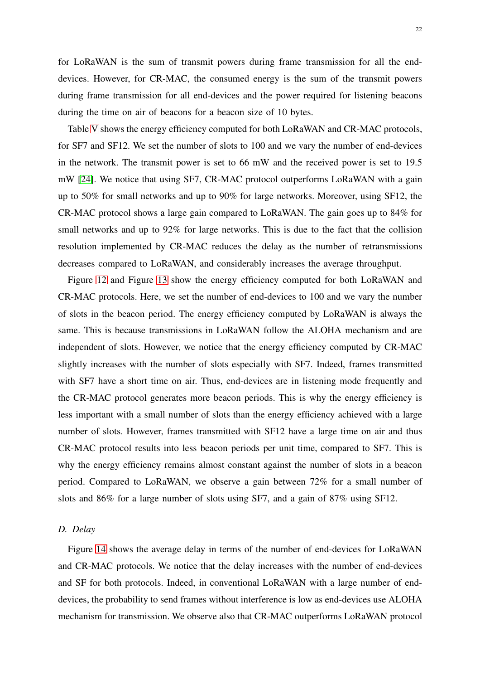for LoRaWAN is the sum of transmit powers during frame transmission for all the enddevices. However, for CR-MAC, the consumed energy is the sum of the transmit powers during frame transmission for all end-devices and the power required for listening beacons during the time on air of beacons for a beacon size of 10 bytes.

Table [V](#page-20-1) shows the energy efficiency computed for both LoRaWAN and CR-MAC protocols, for SF7 and SF12. We set the number of slots to 100 and we vary the number of end-devices in the network. The transmit power is set to 66 mW and the received power is set to 19.5 mW [\[24\]](#page-26-2). We notice that using SF7, CR-MAC protocol outperforms LoRaWAN with a gain up to 50% for small networks and up to 90% for large networks. Moreover, using SF12, the CR-MAC protocol shows a large gain compared to LoRaWAN. The gain goes up to 84% for small networks and up to 92% for large networks. This is due to the fact that the collision resolution implemented by CR-MAC reduces the delay as the number of retransmissions decreases compared to LoRaWAN, and considerably increases the average throughput.

Figure [12](#page-22-0) and Figure [13](#page-22-1) show the energy efficiency computed for both LoRaWAN and CR-MAC protocols. Here, we set the number of end-devices to 100 and we vary the number of slots in the beacon period. The energy efficiency computed by LoRaWAN is always the same. This is because transmissions in LoRaWAN follow the ALOHA mechanism and are independent of slots. However, we notice that the energy efficiency computed by CR-MAC slightly increases with the number of slots especially with SF7. Indeed, frames transmitted with SF7 have a short time on air. Thus, end-devices are in listening mode frequently and the CR-MAC protocol generates more beacon periods. This is why the energy efficiency is less important with a small number of slots than the energy efficiency achieved with a large number of slots. However, frames transmitted with SF12 have a large time on air and thus CR-MAC protocol results into less beacon periods per unit time, compared to SF7. This is why the energy efficiency remains almost constant against the number of slots in a beacon period. Compared to LoRaWAN, we observe a gain between 72% for a small number of slots and 86% for a large number of slots using SF7, and a gain of 87% using SF12.

## *D. Delay*

Figure [14](#page-23-0) shows the average delay in terms of the number of end-devices for LoRaWAN and CR-MAC protocols. We notice that the delay increases with the number of end-devices and SF for both protocols. Indeed, in conventional LoRaWAN with a large number of enddevices, the probability to send frames without interference is low as end-devices use ALOHA mechanism for transmission. We observe also that CR-MAC outperforms LoRaWAN protocol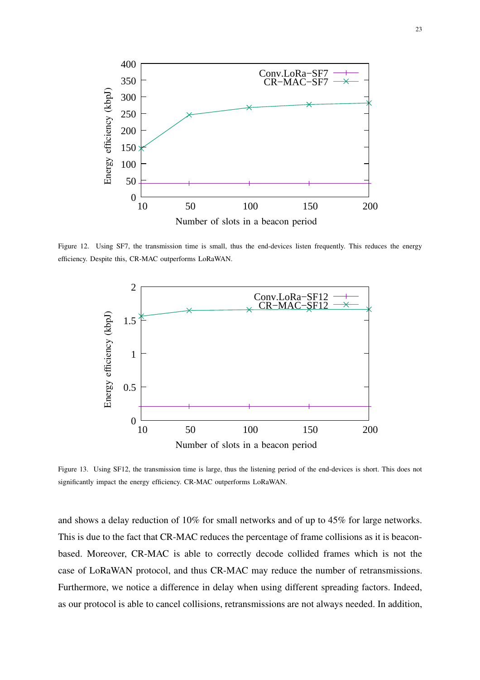

<span id="page-22-0"></span>Figure 12. Using SF7, the transmission time is small, thus the end-devices listen frequently. This reduces the energy efficiency. Despite this, CR-MAC outperforms LoRaWAN.



<span id="page-22-1"></span>Figure 13. Using SF12, the transmission time is large, thus the listening period of the end-devices is short. This does not significantly impact the energy efficiency. CR-MAC outperforms LoRaWAN.

and shows a delay reduction of 10% for small networks and of up to 45% for large networks. This is due to the fact that CR-MAC reduces the percentage of frame collisions as it is beaconbased. Moreover, CR-MAC is able to correctly decode collided frames which is not the case of LoRaWAN protocol, and thus CR-MAC may reduce the number of retransmissions. Furthermore, we notice a difference in delay when using different spreading factors. Indeed, as our protocol is able to cancel collisions, retransmissions are not always needed. In addition,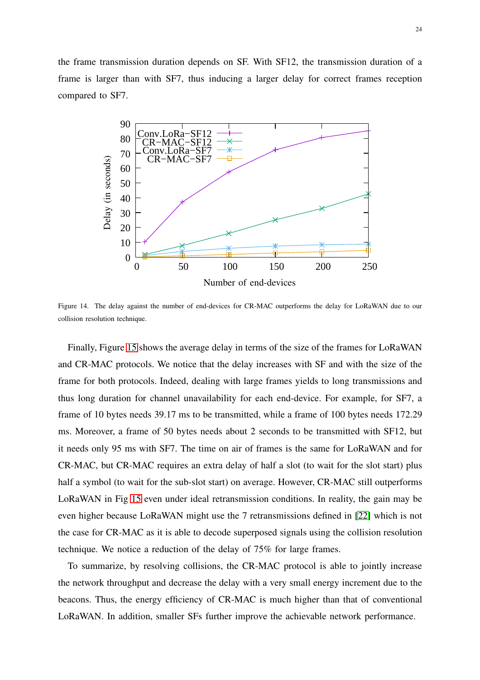the frame transmission duration depends on SF. With SF12, the transmission duration of a frame is larger than with SF7, thus inducing a larger delay for correct frames reception compared to SF7.



<span id="page-23-0"></span>Figure 14. The delay against the number of end-devices for CR-MAC outperforms the delay for LoRaWAN due to our collision resolution technique.

Finally, Figure [15](#page-24-1) shows the average delay in terms of the size of the frames for LoRaWAN and CR-MAC protocols. We notice that the delay increases with SF and with the size of the frame for both protocols. Indeed, dealing with large frames yields to long transmissions and thus long duration for channel unavailability for each end-device. For example, for SF7, a frame of 10 bytes needs 39.17 ms to be transmitted, while a frame of 100 bytes needs 172.29 ms. Moreover, a frame of 50 bytes needs about 2 seconds to be transmitted with SF12, but it needs only 95 ms with SF7. The time on air of frames is the same for LoRaWAN and for CR-MAC, but CR-MAC requires an extra delay of half a slot (to wait for the slot start) plus half a symbol (to wait for the sub-slot start) on average. However, CR-MAC still outperforms LoRaWAN in Fig [15](#page-24-1) even under ideal retransmission conditions. In reality, the gain may be even higher because LoRaWAN might use the 7 retransmissions defined in [\[22\]](#page-26-0) which is not the case for CR-MAC as it is able to decode superposed signals using the collision resolution technique. We notice a reduction of the delay of 75% for large frames.

To summarize, by resolving collisions, the CR-MAC protocol is able to jointly increase the network throughput and decrease the delay with a very small energy increment due to the beacons. Thus, the energy efficiency of CR-MAC is much higher than that of conventional LoRaWAN. In addition, smaller SFs further improve the achievable network performance.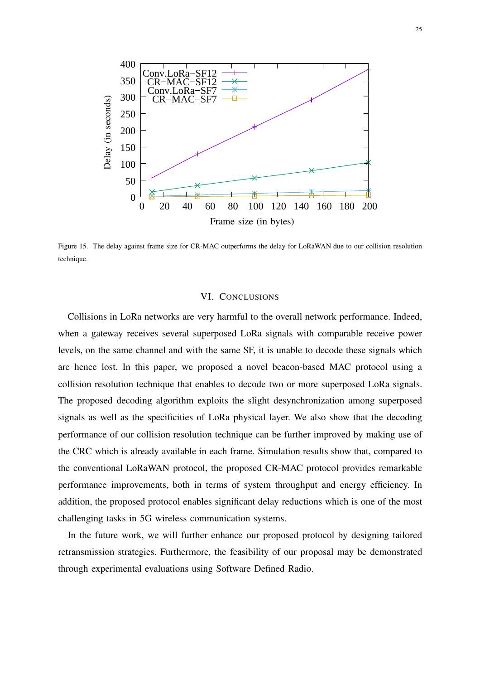

<span id="page-24-1"></span><span id="page-24-0"></span>Figure 15. The delay against frame size for CR-MAC outperforms the delay for LoRaWAN due to our collision resolution technique.

## VI. CONCLUSIONS

Collisions in LoRa networks are very harmful to the overall network performance. Indeed, when a gateway receives several superposed LoRa signals with comparable receive power levels, on the same channel and with the same SF, it is unable to decode these signals which are hence lost. In this paper, we proposed a novel beacon-based MAC protocol using a collision resolution technique that enables to decode two or more superposed LoRa signals. The proposed decoding algorithm exploits the slight desynchronization among superposed signals as well as the specificities of LoRa physical layer. We also show that the decoding performance of our collision resolution technique can be further improved by making use of the CRC which is already available in each frame. Simulation results show that, compared to the conventional LoRaWAN protocol, the proposed CR-MAC protocol provides remarkable performance improvements, both in terms of system throughput and energy efficiency. In addition, the proposed protocol enables significant delay reductions which is one of the most challenging tasks in 5G wireless communication systems.

In the future work, we will further enhance our proposed protocol by designing tailored retransmission strategies. Furthermore, the feasibility of our proposal may be demonstrated through experimental evaluations using Software Defined Radio.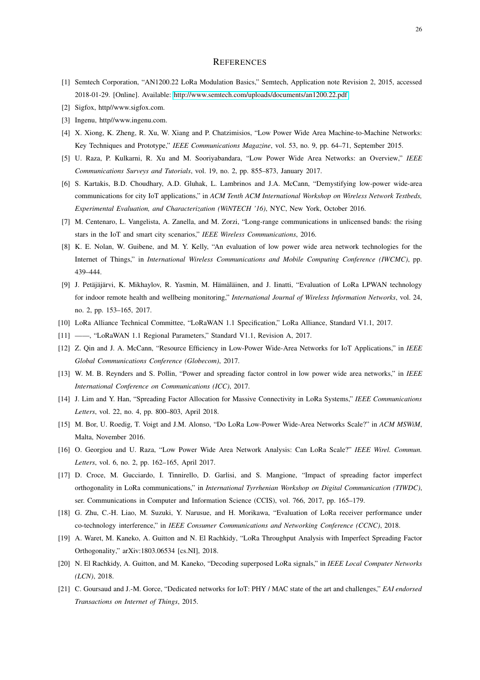#### **REFERENCES**

- <span id="page-25-1"></span><span id="page-25-0"></span>[1] Semtech Corporation, "AN1200.22 LoRa Modulation Basics," Semtech, Application note Revision 2, 2015, accessed 2018-01-29. [Online]. Available:<http://www.semtech.com/uploads/documents/an1200.22.pdf>
- <span id="page-25-2"></span>[2] Sigfox, http//www.sigfox.com.
- <span id="page-25-3"></span>[3] Ingenu, http//www.ingenu.com.
- <span id="page-25-4"></span>[4] X. Xiong, K. Zheng, R. Xu, W. Xiang and P. Chatzimisios, "Low Power Wide Area Machine-to-Machine Networks: Key Techniques and Prototype," *IEEE Communications Magazine*, vol. 53, no. 9, pp. 64–71, September 2015.
- <span id="page-25-5"></span>[5] U. Raza, P. Kulkarni, R. Xu and M. Sooriyabandara, "Low Power Wide Area Networks: an Overview," *IEEE Communications Surveys and Tutorials*, vol. 19, no. 2, pp. 855–873, January 2017.
- [6] S. Kartakis, B.D. Choudhary, A.D. Gluhak, L. Lambrinos and J.A. McCann, "Demystifying low-power wide-area communications for city IoT applications," in *ACM Tenth ACM International Workshop on Wireless Network Testbeds, Experimental Evaluation, and Characterization (WiNTECH '16)*, NYC, New York, October 2016.
- <span id="page-25-7"></span><span id="page-25-6"></span>[7] M. Centenaro, L. Vangelista, A. Zanella, and M. Zorzi, "Long-range communications in unlicensed bands: the rising stars in the IoT and smart city scenarios," *IEEE Wireless Communications*, 2016.
- [8] K. E. Nolan, W. Guibene, and M. Y. Kelly, "An evaluation of low power wide area network technologies for the Internet of Things," in *International Wireless Communications and Mobile Computing Conference (IWCMC)*, pp. 439–444.
- <span id="page-25-8"></span>[9] J. Petäjäjärvi, K. Mikhaylov, R. Yasmin, M. Hämäläinen, and J. Iinatti, "Evaluation of LoRa LPWAN technology for indoor remote health and wellbeing monitoring," *International Journal of Wireless Information Networks*, vol. 24, no. 2, pp. 153–165, 2017.
- <span id="page-25-10"></span><span id="page-25-9"></span>[10] LoRa Alliance Technical Committee, "LoRaWAN 1.1 Specification," LoRa Alliance, Standard V1.1, 2017.
- <span id="page-25-11"></span>[11] ——, "LoRaWAN 1.1 Regional Parameters," Standard V1.1, Revision A, 2017.
- <span id="page-25-12"></span>[12] Z. Qin and J. A. McCann, "Resource Efficiency in Low-Power Wide-Area Networks for IoT Applications," in *IEEE Global Communications Conference (Globecom)*, 2017.
- <span id="page-25-13"></span>[13] W. M. B. Reynders and S. Pollin, "Power and spreading factor control in low power wide area networks," in *IEEE International Conference on Communications (ICC)*, 2017.
- <span id="page-25-14"></span>[14] J. Lim and Y. Han, "Spreading Factor Allocation for Massive Connectivity in LoRa Systems," *IEEE Communications Letters*, vol. 22, no. 4, pp. 800–803, April 2018.
- <span id="page-25-15"></span>[15] M. Bor, U. Roedig, T. Voigt and J.M. Alonso, "Do LoRa Low-Power Wide-Area Networks Scale?" in *ACM MSWiM*, Malta, November 2016.
- <span id="page-25-16"></span>[16] O. Georgiou and U. Raza, "Low Power Wide Area Network Analysis: Can LoRa Scale?" *IEEE Wirel. Commun. Letters*, vol. 6, no. 2, pp. 162–165, April 2017.
- [17] D. Croce, M. Gucciardo, I. Tinnirello, D. Garlisi, and S. Mangione, "Impact of spreading factor imperfect orthogonality in LoRa communications," in *International Tyrrhenian Workshop on Digital Communication (TIWDC)*, ser. Communications in Computer and Information Science (CCIS), vol. 766, 2017, pp. 165–179.
- <span id="page-25-18"></span><span id="page-25-17"></span>[18] G. Zhu, C.-H. Liao, M. Suzuki, Y. Narusue, and H. Morikawa, "Evaluation of LoRa receiver performance under co-technology interference," in *IEEE Consumer Communications and Networking Conference (CCNC)*, 2018.
- <span id="page-25-19"></span>[19] A. Waret, M. Kaneko, A. Guitton and N. El Rachkidy, "LoRa Throughput Analysis with Imperfect Spreading Factor Orthogonality," arXiv:1803.06534 [cs.NI], 2018.
- <span id="page-25-20"></span>[20] N. El Rachkidy, A. Guitton, and M. Kaneko, "Decoding superposed LoRa signals," in *IEEE Local Computer Networks (LCN)*, 2018.
- [21] C. Goursaud and J.-M. Gorce, "Dedicated networks for IoT: PHY / MAC state of the art and challenges," *EAI endorsed Transactions on Internet of Things*, 2015.